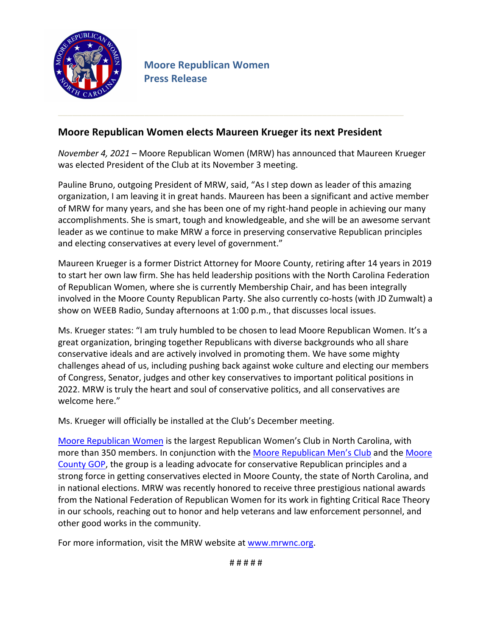

## **Moore Republican Women elects Maureen Krueger its next President**

*November 4, 2021* – Moore Republican Women (MRW) has announced that Maureen Krueger was elected President of the Club at its November 3 meeting.

Pauline Bruno, outgoing President of MRW, said, "As I step down as leader of this amazing organization, I am leaving it in great hands. Maureen has been a significant and active member of MRW for many years, and she has been one of my right-hand people in achieving our many accomplishments. She is smart, tough and knowledgeable, and she will be an awesome servant leader as we continue to make MRW a force in preserving conservative Republican principles and electing conservatives at every level of government."

Maureen Krueger is a former District Attorney for Moore County, retiring after 14 years in 2019 to start her own law firm. She has held leadership positions with the North Carolina Federation of Republican Women, where she is currently Membership Chair, and has been integrally involved in the Moore County Republican Party. She also currently co-hosts (with JD Zumwalt) a show on WEEB Radio, Sunday afternoons at 1:00 p.m., that discusses local issues.

Ms. Krueger states: "I am truly humbled to be chosen to lead Moore Republican Women. It's a great organization, bringing together Republicans with diverse backgrounds who all share conservative ideals and are actively involved in promoting them. We have some mighty challenges ahead of us, including pushing back against woke culture and electing our members of Congress, Senator, judges and other key conservatives to important political positions in 2022. MRW is truly the heart and soul of conservative politics, and all conservatives are welcome here."

Ms. Krueger will officially be installed at the Club's December meeting.

Moore Republican Women is the largest Republican Women's Club in North Carolina, with more than 350 members. In conjunction with the Moore Republican Men's Club and the Moore County GOP, the group is a leading advocate for conservative Republican principles and a strong force in getting conservatives elected in Moore County, the state of North Carolina, and in national elections. MRW was recently honored to receive three prestigious national awards from the National Federation of Republican Women for its work in fighting Critical Race Theory in our schools, reaching out to honor and help veterans and law enforcement personnel, and other good works in the community.

For more information, visit the MRW website at www.mrwnc.org.